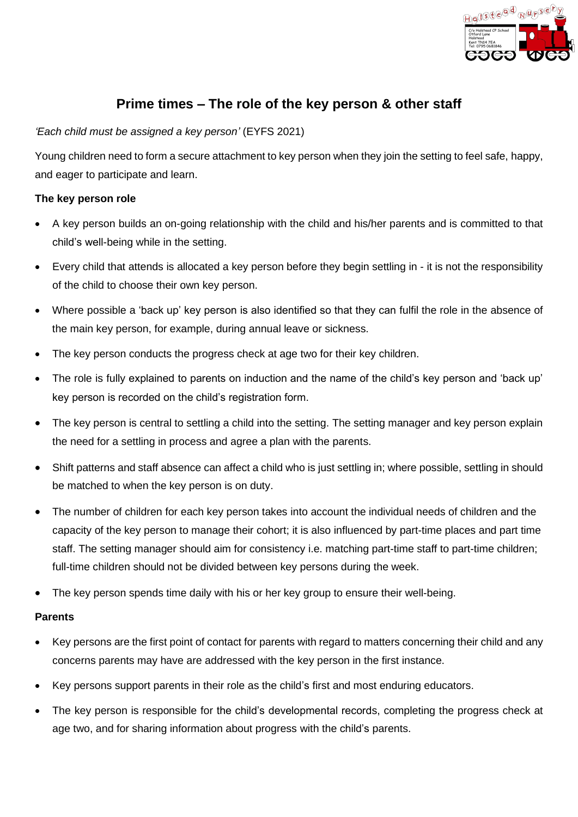

# **Prime times – The role of the key person & other staff**

## *'Each child must be assigned a key person'* (EYFS 2021)

Young children need to form a secure attachment to key person when they join the setting to feel safe, happy, and eager to participate and learn.

# **The key person role**

- A key person builds an on-going relationship with the child and his/her parents and is committed to that child's well-being while in the setting.
- Every child that attends is allocated a key person before they begin settling in it is not the responsibility of the child to choose their own key person.
- Where possible a 'back up' key person is also identified so that they can fulfil the role in the absence of the main key person, for example, during annual leave or sickness.
- The key person conducts the progress check at age two for their key children.
- The role is fully explained to parents on induction and the name of the child's key person and 'back up' key person is recorded on the child's registration form.
- The key person is central to settling a child into the setting. The setting manager and key person explain the need for a settling in process and agree a plan with the parents.
- Shift patterns and staff absence can affect a child who is just settling in; where possible, settling in should be matched to when the key person is on duty.
- The number of children for each key person takes into account the individual needs of children and the capacity of the key person to manage their cohort; it is also influenced by part-time places and part time staff. The setting manager should aim for consistency i.e. matching part-time staff to part-time children; full-time children should not be divided between key persons during the week.
- The key person spends time daily with his or her key group to ensure their well-being.

## **Parents**

- Key persons are the first point of contact for parents with regard to matters concerning their child and any concerns parents may have are addressed with the key person in the first instance.
- Key persons support parents in their role as the child's first and most enduring educators.
- The key person is responsible for the child's developmental records, completing the progress check at age two, and for sharing information about progress with the child's parents.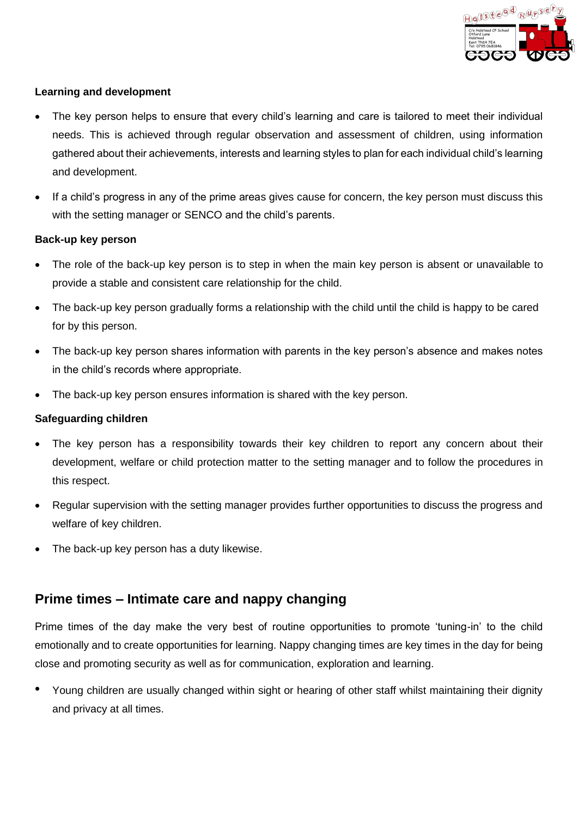

### **Learning and development**

- The key person helps to ensure that every child's learning and care is tailored to meet their individual needs. This is achieved through regular observation and assessment of children, using information gathered about their achievements, interests and learning styles to plan for each individual child's learning and development.
- If a child's progress in any of the prime areas gives cause for concern, the key person must discuss this with the setting manager or SENCO and the child's parents.

### **Back-up key person**

- The role of the back-up key person is to step in when the main key person is absent or unavailable to provide a stable and consistent care relationship for the child.
- The back-up key person gradually forms a relationship with the child until the child is happy to be cared for by this person.
- The back-up key person shares information with parents in the key person's absence and makes notes in the child's records where appropriate.
- The back-up key person ensures information is shared with the key person.

### **Safeguarding children**

- The key person has a responsibility towards their key children to report any concern about their development, welfare or child protection matter to the setting manager and to follow the procedures in this respect.
- Regular supervision with the setting manager provides further opportunities to discuss the progress and welfare of key children.
- The back-up key person has a duty likewise.

# **Prime times – Intimate care and nappy changing**

Prime times of the day make the very best of routine opportunities to promote 'tuning-in' to the child emotionally and to create opportunities for learning. Nappy changing times are key times in the day for being close and promoting security as well as for communication, exploration and learning.

• Young children are usually changed within sight or hearing of other staff whilst maintaining their dignity and privacy at all times.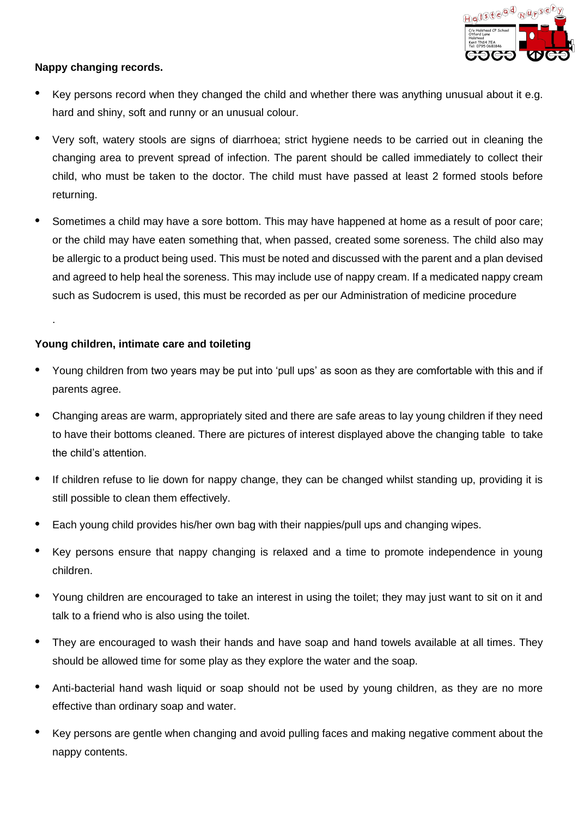

# **Nappy changing records.**

- Key persons record when they changed the child and whether there was anything unusual about it e.g. hard and shiny, soft and runny or an unusual colour.
- Very soft, watery stools are signs of diarrhoea; strict hygiene needs to be carried out in cleaning the changing area to prevent spread of infection. The parent should be called immediately to collect their child, who must be taken to the doctor. The child must have passed at least 2 formed stools before returning.
- Sometimes a child may have a sore bottom. This may have happened at home as a result of poor care; or the child may have eaten something that, when passed, created some soreness. The child also may be allergic to a product being used. This must be noted and discussed with the parent and a plan devised and agreed to help heal the soreness. This may include use of nappy cream. If a medicated nappy cream such as Sudocrem is used, this must be recorded as per our Administration of medicine procedure

## **Young children, intimate care and toileting**

.

- Young children from two years may be put into 'pull ups' as soon as they are comfortable with this and if parents agree.
- Changing areas are warm, appropriately sited and there are safe areas to lay young children if they need to have their bottoms cleaned. There are pictures of interest displayed above the changing table to take the child's attention.
- If children refuse to lie down for nappy change, they can be changed whilst standing up, providing it is still possible to clean them effectively.
- Each young child provides his/her own bag with their nappies/pull ups and changing wipes.
- Key persons ensure that nappy changing is relaxed and a time to promote independence in young children.
- Young children are encouraged to take an interest in using the toilet; they may just want to sit on it and talk to a friend who is also using the toilet.
- They are encouraged to wash their hands and have soap and hand towels available at all times. They should be allowed time for some play as they explore the water and the soap.
- Anti-bacterial hand wash liquid or soap should not be used by young children, as they are no more effective than ordinary soap and water.
- Key persons are gentle when changing and avoid pulling faces and making negative comment about the nappy contents.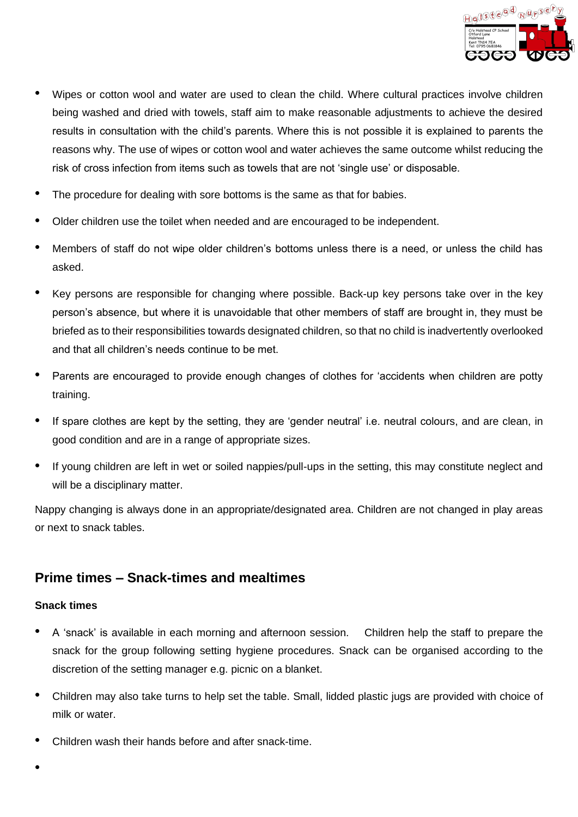

- Wipes or cotton wool and water are used to clean the child. Where cultural practices involve children being washed and dried with towels, staff aim to make reasonable adjustments to achieve the desired results in consultation with the child's parents. Where this is not possible it is explained to parents the reasons why. The use of wipes or cotton wool and water achieves the same outcome whilst reducing the risk of cross infection from items such as towels that are not 'single use' or disposable.
- The procedure for dealing with sore bottoms is the same as that for babies.
- Older children use the toilet when needed and are encouraged to be independent.
- Members of staff do not wipe older children's bottoms unless there is a need, or unless the child has asked.
- Key persons are responsible for changing where possible. Back-up key persons take over in the key person's absence, but where it is unavoidable that other members of staff are brought in, they must be briefed as to their responsibilities towards designated children, so that no child is inadvertently overlooked and that all children's needs continue to be met.
- Parents are encouraged to provide enough changes of clothes for 'accidents when children are potty training.
- If spare clothes are kept by the setting, they are 'gender neutral' i.e. neutral colours, and are clean, in good condition and are in a range of appropriate sizes.
- If young children are left in wet or soiled nappies/pull-ups in the setting, this may constitute neglect and will be a disciplinary matter.

Nappy changing is always done in an appropriate/designated area. Children are not changed in play areas or next to snack tables.

# **Prime times – Snack-times and mealtimes**

### **Snack times**

- A 'snack' is available in each morning and afternoon session. Children help the staff to prepare the snack for the group following setting hygiene procedures. Snack can be organised according to the discretion of the setting manager e.g. picnic on a blanket.
- Children may also take turns to help set the table. Small, lidded plastic jugs are provided with choice of milk or water.
- Children wash their hands before and after snack-time.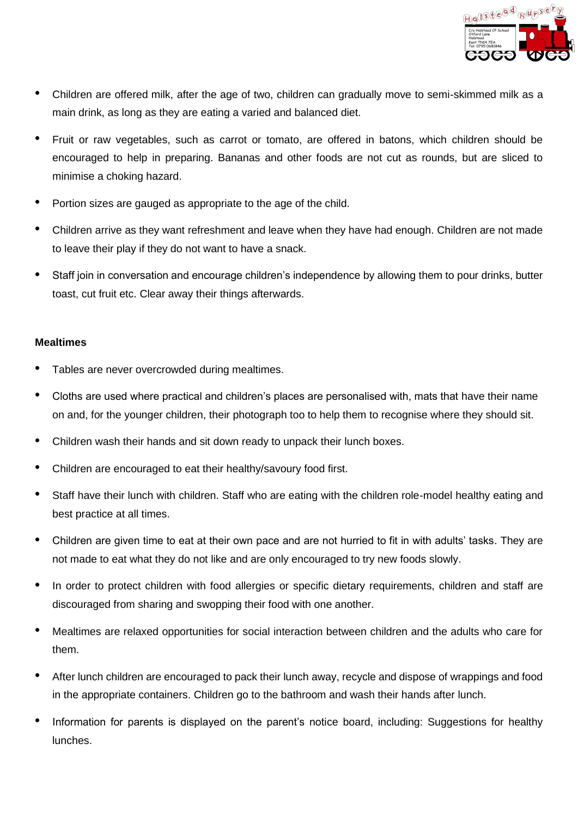

- Children are offered milk, after the age of two, children can gradually move to semi-skimmed milk as a main drink, as long as they are eating a varied and balanced diet.
- Fruit or raw vegetables, such as carrot or tomato, are offered in batons, which children should be encouraged to help in preparing. Bananas and other foods are not cut as rounds, but are sliced to minimise a choking hazard.
- Portion sizes are gauged as appropriate to the age of the child.
- Children arrive as they want refreshment and leave when they have had enough. Children are not made to leave their play if they do not want to have a snack.
- Staff join in conversation and encourage children's independence by allowing them to pour drinks, butter toast, cut fruit etc. Clear away their things afterwards.

### **Mealtimes**

- Tables are never overcrowded during mealtimes.
- Cloths are used where practical and children's places are personalised with, mats that have their name on and, for the younger children, their photograph too to help them to recognise where they should sit.
- Children wash their hands and sit down ready to unpack their lunch boxes.
- Children are encouraged to eat their healthy/savoury food first.
- Staff have their lunch with children. Staff who are eating with the children role-model healthy eating and best practice at all times.
- Children are given time to eat at their own pace and are not hurried to fit in with adults' tasks. They are not made to eat what they do not like and are only encouraged to try new foods slowly.
- In order to protect children with food allergies or specific dietary requirements, children and staff are discouraged from sharing and swopping their food with one another.
- Mealtimes are relaxed opportunities for social interaction between children and the adults who care for them.
- After lunch children are encouraged to pack their lunch away, recycle and dispose of wrappings and food in the appropriate containers. Children go to the bathroom and wash their hands after lunch.
- Information for parents is displayed on the parent's notice board, including: Suggestions for healthy lunches.